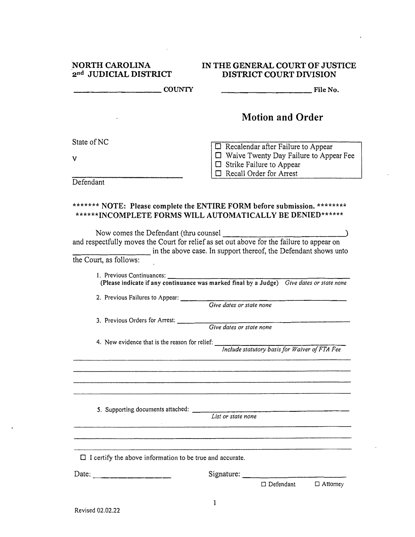| <b>NORTH CAROLINA</b> |                       |  |  |
|-----------------------|-----------------------|--|--|
|                       | 2nd JUDICIAL DISTRICT |  |  |

 $\hat{\mathbf{r}}$ 

## **IN THE GENERAL COURT OF JUSTICE DISTRICT COURT DIVISION**

 $\bar{z}$ 

| viillin inii il                                                 | DISTINGT COOKT DIVISION                                                                                                                                                                                                             |
|-----------------------------------------------------------------|-------------------------------------------------------------------------------------------------------------------------------------------------------------------------------------------------------------------------------------|
| <b>COUNTY</b>                                                   | File No.                                                                                                                                                                                                                            |
|                                                                 | <b>Motion and Order</b>                                                                                                                                                                                                             |
| State of NC                                                     | $\Box$ Recalendar after Failure to Appear                                                                                                                                                                                           |
| v                                                               | $\Box$ Waive Twenty Day Failure to Appear Fee<br>$\Box$ Strike Failure to Appear                                                                                                                                                    |
| Defendant                                                       | Recall Order for Arrest                                                                                                                                                                                                             |
| Now comes the Defendant (thru counsel                           | ******* NOTE: Please complete the ENTIRE FORM before submission. ********<br>******INCOMPLETE FORMS WILL AUTOMATICALLY BE DENIED******<br>and respectfully moves the Court for relief as set out above for the failure to appear on |
| the Court, as follows:                                          | in the above case. In support thereof, the Defendant shows unto                                                                                                                                                                     |
| 1. Previous Continuances:<br>2. Previous Failures to Appear:    | (Please indicate if any continuance was marked final by a Judge) Give dates or state none<br>Give dates or state none                                                                                                               |
| 3. Previous Orders for Arrest:                                  | Give dates or state none                                                                                                                                                                                                            |
| 4. New evidence that is the reason for relief:                  | Include statutory basis for Waiver of FTA Fee                                                                                                                                                                                       |
| 5. Supporting documents attached: _____                         | the control of the control of the control of<br>List or state none                                                                                                                                                                  |
| $\Box$ I certify the above information to be true and accurate. |                                                                                                                                                                                                                                     |
| Date:                                                           | Signature:                                                                                                                                                                                                                          |
|                                                                 | $\Box$ Defendant<br>$\Box$ Attorney                                                                                                                                                                                                 |

 $\hat{\mathbf{r}}$